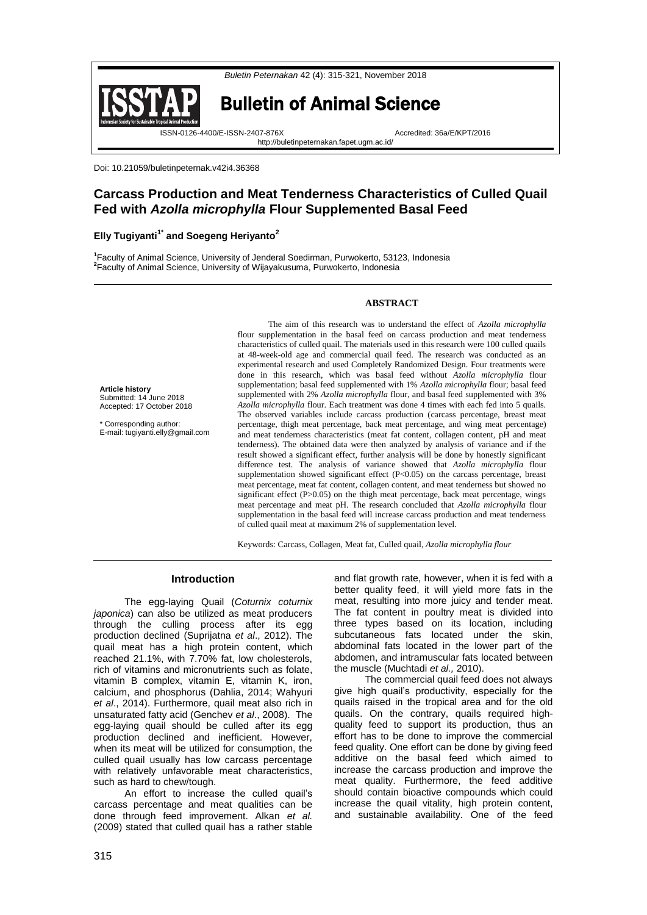

Doi: 10.21059/buletinpeternak.v42i4.36368

# **Carcass Production and Meat Tenderness Characteristics of Culled Quail Fed with** *Azolla microphylla* **Flour Supplemented Basal Feed**

## **Elly Tugiyanti1\* and Soegeng Heriyanto<sup>2</sup>**

**1** Faculty of Animal Science, University of Jenderal Soedirman, Purwokerto, 53123, Indonesia **2** Faculty of Animal Science, University of Wijayakusuma, Purwokerto, Indonesia

### **ABSTRACT**

**Article history** Submitted: 14 June 2018 Accepted: 17 October 2018

\* Corresponding author: E-mail[: tugiyanti.elly@gmail.com](mailto:tugiyanti.elly@gmail.com)

The aim of this research was to understand the effect of *Azolla microphylla* flour supplementation in the basal feed on carcass production and meat tenderness characteristics of culled quail. The materials used in this research were 100 culled quails at 48-week-old age and commercial quail feed. The research was conducted as an experimental research and used Completely Randomized Design. Four treatments were done in this research, which was basal feed without *Azolla microphylla* flour supplementation; basal feed supplemented with 1% *Azolla microphylla* flour; basal feed supplemented with 2% *Azolla microphylla* flour, and basal feed supplemented with 3% *Azolla microphylla* flour. Each treatment was done 4 times with each fed into 5 quails. The observed variables include carcass production (carcass percentage, breast meat percentage, thigh meat percentage, back meat percentage, and wing meat percentage) and meat tenderness characteristics (meat fat content, collagen content, pH and meat tenderness). The obtained data were then analyzed by analysis of variance and if the result showed a significant effect, further analysis will be done by honestly significant difference test. The analysis of variance showed that *Azolla microphylla* flour supplementation showed significant effect (P<0.05) on the carcass percentage, breast meat percentage, meat fat content, collagen content, and meat tenderness but showed no significant effect (P>0.05) on the thigh meat percentage, back meat percentage, wings meat percentage and meat pH. The research concluded that *Azolla microphylla* flour supplementation in the basal feed will increase carcass production and meat tenderness of culled quail meat at maximum 2% of supplementation level.

Keywords: Carcass, Collagen, Meat fat*,* Culled quail, *Azolla microphylla flour*

#### **Introduction**

The egg-laying Quail (*Coturnix coturnix japonica*) can also be utilized as meat producers through the culling process after its egg production declined (Suprijatna *et al*., 2012). The quail meat has a high protein content, which reached 21.1%, with 7.70% fat, low cholesterols, rich of vitamins and micronutrients such as folate, vitamin B complex, vitamin E, vitamin K, iron, calcium, and phosphorus (Dahlia, 2014; Wahyuri *et al*., 2014). Furthermore, quail meat also rich in unsaturated fatty acid (Genchev *et al*., 2008). The egg-laying quail should be culled after its egg production declined and inefficient. However, when its meat will be utilized for consumption, the culled quail usually has low carcass percentage with relatively unfavorable meat characteristics, such as hard to chew/tough.

An effort to increase the culled quail's carcass percentage and meat qualities can be done through feed improvement. Alkan *et al.* (2009) stated that culled quail has a rather stable

and flat growth rate, however, when it is fed with a better quality feed, it will yield more fats in the meat, resulting into more juicy and tender meat. The fat content in poultry meat is divided into three types based on its location, including subcutaneous fats located under the skin, abdominal fats located in the lower part of the abdomen, and intramuscular fats located between the muscle (Muchtadi *et al.,* 2010).

The commercial quail feed does not always give high quail's productivity, especially for the quails raised in the tropical area and for the old quails. On the contrary, quails required highquality feed to support its production, thus an effort has to be done to improve the commercial feed quality. One effort can be done by giving feed additive on the basal feed which aimed to increase the carcass production and improve the meat quality. Furthermore, the feed additive should contain bioactive compounds which could increase the quail vitality, high protein content, and sustainable availability. One of the feed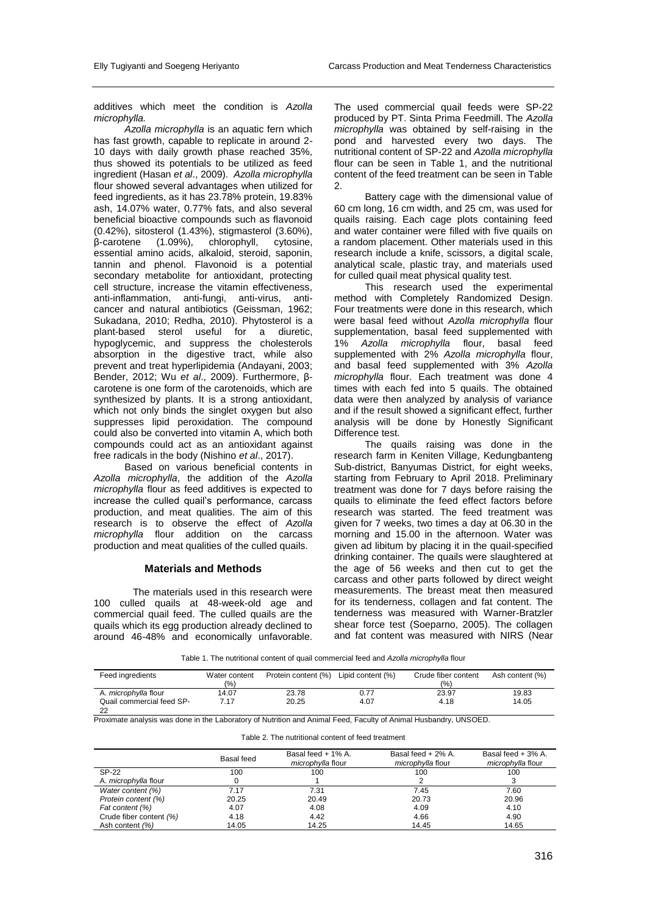additives which meet the condition is *Azolla microphylla.* 

*Azolla microphylla* is an aquatic fern which has fast growth, capable to replicate in around 2-10 days with daily growth phase reached 35%, thus showed its potentials to be utilized as feed ingredient (Hasan *et al*., 2009). *Azolla microphylla*  flour showed several advantages when utilized for feed ingredients, as it has 23.78% protein, 19.83% ash, 14.07% water, 0.77% fats, and also several beneficial bioactive compounds such as flavonoid (0.42%), sitosterol (1.43%), stigmasterol (3.60%), β-carotene (1.09%), chlorophyll, cytosine, essential amino acids, alkaloid, steroid, saponin, tannin and phenol. Flavonoid is a potential secondary metabolite for antioxidant, protecting cell structure, increase the vitamin effectiveness, anti-inflammation, anti-fungi, anti-virus, anticancer and natural antibiotics (Geissman, 1962; Sukadana, 2010; Redha, 2010). Phytosterol is a plant-based sterol useful for a diuretic, hypoglycemic, and suppress the cholesterols absorption in the digestive tract, while also prevent and treat hyperlipidemia (Andayani, 2003; Bender, 2012; Wu *et al*., 2009). Furthermore, βcarotene is one form of the carotenoids, which are synthesized by plants. It is a strong antioxidant, which not only binds the singlet oxygen but also suppresses lipid peroxidation. The compound could also be converted into vitamin A, which both compounds could act as an antioxidant against free radicals in the body (Nishino *et al*., 2017).

Based on various beneficial contents in *Azolla microphylla*, the addition of the *Azolla microphylla* flour as feed additives is expected to increase the culled quail's performance, carcass production, and meat qualities. The aim of this research is to observe the effect of *Azolla microphylla* flour addition on the carcass production and meat qualities of the culled quails.

#### **Materials and Methods**

The materials used in this research were 100 culled quails at 48-week-old age and commercial quail feed. The culled quails are the quails which its egg production already declined to around 46-48% and economically unfavorable.

The used commercial quail feeds were SP-22 produced by PT. Sinta Prima Feedmill. The *Azolla microphylla* was obtained by self-raising in the pond and harvested every two days. The nutritional content of SP-22 and *Azolla microphylla*  flour can be seen in Table 1, and the nutritional content of the feed treatment can be seen in Table  $\mathcal{L}$ 

Battery cage with the dimensional value of 60 cm long, 16 cm width, and 25 cm, was used for quails raising. Each cage plots containing feed and water container were filled with five quails on a random placement. Other materials used in this research include a knife, scissors, a digital scale, analytical scale, plastic tray, and materials used for culled quail meat physical quality test.

This research used the experimental method with Completely Randomized Design. Four treatments were done in this research, which were basal feed without *Azolla microphylla* flour supplementation, basal feed supplemented with<br>1% Azolla microphylla flour, basal feed 1% *Azolla microphylla* flour, basal feed supplemented with 2% *Azolla microphylla* flour, and basal feed supplemented with 3% *Azolla microphylla* flour. Each treatment was done 4 times with each fed into 5 quails. The obtained data were then analyzed by analysis of variance and if the result showed a significant effect, further analysis will be done by Honestly Significant Difference test.

The quails raising was done in the research farm in Keniten Village, Kedungbanteng Sub-district, Banyumas District, for eight weeks, starting from February to April 2018. Preliminary treatment was done for 7 days before raising the quails to eliminate the feed effect factors before research was started. The feed treatment was given for 7 weeks, two times a day at 06.30 in the morning and 15.00 in the afternoon. Water was given ad libitum by placing it in the quail-specified drinking container. The quails were slaughtered at the age of 56 weeks and then cut to get the carcass and other parts followed by direct weight measurements. The breast meat then measured for its tenderness, collagen and fat content. The tenderness was measured with Warner-Bratzler shear force test (Soeparno, 2005). The collagen and fat content was measured with NIRS (Near

Table 1. The nutritional content of quail commercial feed and *Azolla microphylla* flour

| Feed ingredients                | Water content<br>(9/6) | Protein content (%) | Lipid content (%) | Crude fiber content<br>(%) | Ash content (%) |
|---------------------------------|------------------------|---------------------|-------------------|----------------------------|-----------------|
| A. microphylla flour            | 14.07                  | 23.78               | 0.77              | 23.97                      | 19.83           |
| Quail commercial feed SP-<br>つつ | 7.17                   | 20.25               | 4.07              | 4.18                       | 14.05           |

Table 2. The nutritional content of feed treatment

Proximate analysis was done in the Laboratory of Nutrition and Animal Feed, Faculty of Animal Husbandry, UNSOED.

|                         | Basal feed | Basal feed + 1% A.<br>microphylla flour | Basal feed + 2% A.<br>microphylla flour | Basal feed + 3% A.<br>microphylla flour |
|-------------------------|------------|-----------------------------------------|-----------------------------------------|-----------------------------------------|
| SP-22                   | 100        | 100                                     | 100                                     | 100                                     |
| A. microphylla flour    |            |                                         |                                         |                                         |
| Water content (%)       | 7.17       | 7.31                                    | 7.45                                    | 7.60                                    |
| Protein content (%)     | 20.25      | 20.49                                   | 20.73                                   | 20.96                                   |
| Fat content (%)         | 4.07       | 4.08                                    | 4.09                                    | 4.10                                    |
| Crude fiber content (%) | 4.18       | 4.42                                    | 4.66                                    | 4.90                                    |
| Ash content (%)         | 14.05      | 14.25                                   | 14.45                                   | 14.65                                   |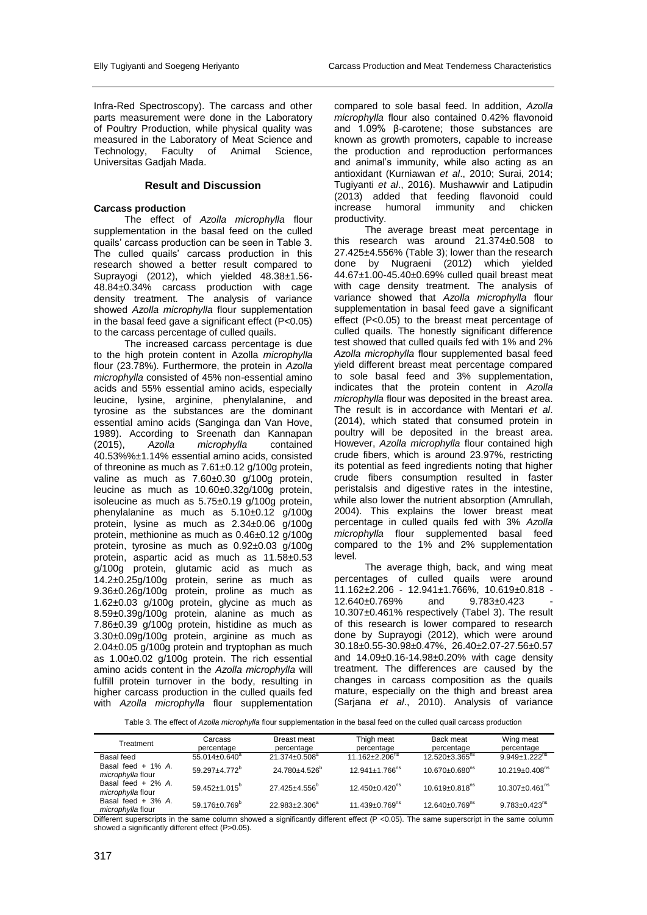Infra-Red Spectroscopy). The carcass and other parts measurement were done in the Laboratory of Poultry Production, while physical quality was measured in the Laboratory of Meat Science and Technology, Faculty of Animal Science, Universitas Gadjah Mada.

## **Result and Discussion**

## **Carcass production**

The effect of *Azolla microphylla* flour supplementation in the basal feed on the culled quails' carcass production can be seen in Table 3. The culled quails' carcass production in this research showed a better result compared to Suprayogi (2012), which yielded 48.38±1.56- 48.84±0.34% carcass production with cage density treatment. The analysis of variance showed *Azolla microphylla* flour supplementation in the basal feed gave a significant effect  $(P<0.05)$ to the carcass percentage of culled quails.

The increased carcass percentage is due to the high protein content in Azolla *microphylla*  flour (23.78%). Furthermore, the protein in *Azolla microphylla* consisted of 45% non-essential amino acids and 55% essential amino acids, especially leucine, lysine, arginine, phenylalanine, and tyrosine as the substances are the dominant essential amino acids (Sanginga dan Van Hove, 1989). According to Sreenath dan Kannapan (2015), *Azolla microphylla* contained 40.53%%±1.14% essential amino acids, consisted of threonine as much as 7.61±0.12 g/100g protein, valine as much as 7.60±0.30 g/100g protein, leucine as much as 10.60±0.32g/100g protein, isoleucine as much as 5.75±0.19 g/100g protein, phenylalanine as much as 5.10±0.12 g/100g protein, lysine as much as 2.34±0.06 g/100g protein, methionine as much as 0.46±0.12 g/100g protein, tyrosine as much as 0.92±0.03 g/100g protein, aspartic acid as much as 11.58±0.53 g/100g protein, glutamic acid as much as 14.2±0.25g/100g protein, serine as much as 9.36±0.26g/100g protein, proline as much as 1.62±0.03 g/100g protein, glycine as much as 8.59±0.39g/100g protein, alanine as much as 7.86±0.39 g/100g protein, histidine as much as 3.30±0.09g/100g protein, arginine as much as 2.04±0.05 g/100g protein and tryptophan as much as 1.00±0.02 g/100g protein. The rich essential amino acids content in the *Azolla microphylla* will fulfill protein turnover in the body, resulting in higher carcass production in the culled quails fed with *Azolla microphylla* flour supplementation

compared to sole basal feed. In addition, *Azolla microphylla* flour also contained 0.42% flavonoid and 1.09% β-carotene; those substances are known as growth promoters, capable to increase the production and reproduction performances and animal's immunity, while also acting as an antioxidant (Kurniawan *et al*., 2010; Surai, 2014; Tugiyanti *et al*., 2016). Mushawwir and Latipudin (2013) added that feeding flavonoid could<br>increase humoral immunity and chicken humoral immunity and productivity.

The average breast meat percentage in this research was around 21.374±0.508 to 27.425±4.556% (Table 3); lower than the research done by Nugraeni (2012) which yielded 44.67±1.00-45.40±0.69% culled quail breast meat with cage density treatment. The analysis of variance showed that *Azolla microphylla* flour supplementation in basal feed gave a significant effect (P<0.05) to the breast meat percentage of culled quails. The honestly significant difference test showed that culled quails fed with 1% and 2% *Azolla microphylla* flour supplemented basal feed yield different breast meat percentage compared to sole basal feed and 3% supplementation, indicates that the protein content in *Azolla microphylla* flour was deposited in the breast area. The result is in accordance with Mentari *et al*. (2014), which stated that consumed protein in poultry will be deposited in the breast area. However, *Azolla microphylla* flour contained high crude fibers, which is around 23.97%, restricting its potential as feed ingredients noting that higher crude fibers consumption resulted in faster peristalsis and digestive rates in the intestine, while also lower the nutrient absorption (Amrullah, 2004). This explains the lower breast meat percentage in culled quails fed with 3% *Azolla microphylla* flour supplemented basal feed compared to the 1% and 2% supplementation level.

The average thigh, back, and wing meat percentages of culled quails were around  $11.162 \pm 2.206 - 12.941 \pm 1.766\%$ ,  $10.619 \pm 0.818 - 12.640 \pm 0.769\%$  and  $9.783 \pm 0.423$ 12.640±0.769% and 10.307±0.461% respectively (Tabel 3). The result of this research is lower compared to research done by Suprayogi (2012), which were around 30.18±0.55-30.98±0.47%, 26.40±2.07-27.56±0.57 and 14.09±0.16-14.98±0.20% with cage density treatment. The differences are caused by the changes in carcass composition as the quails mature, especially on the thigh and breast area (Sarjana *et al*., 2010). Analysis of variance

Table 3. The effect of *Azolla microphylla* flour supplementation in the basal feed on the culled quail carcass production

| Treatment                                 | Carcass<br>percentage      | Breast meat<br>percentage  | Thigh meat<br>percentage         | Back meat<br>percentage          | Wing meat<br>percentage          |
|-------------------------------------------|----------------------------|----------------------------|----------------------------------|----------------------------------|----------------------------------|
| Basal feed                                | $55.014 \pm 0.640^a$       | $21.374 \pm 0.508^a$       | $11.162 \pm 2.206^{ns}$          | $12.520 \pm 3.365$ <sup>ns</sup> | $9.949 \pm 1.222$ <sup>ns</sup>  |
| Basal feed + 1% A.<br>microphylla flour   | 59.297±4.772 <sup>b</sup>  | 24.780±4.526 <sup>b</sup>  | $12.941 \pm 1.766^{ns}$          | $10.670 \pm 0.680$ <sup>ns</sup> | $10.219 \pm 0.408$ <sup>ns</sup> |
| Basal feed $+2\%$ A.<br>microphylla flour | $59.452 \pm 1.015^{\circ}$ | $27.425 \pm 4.556^{\circ}$ | $12.450\pm0.420$ <sup>ns</sup>   | $10.619 \pm 0.818$ <sup>ns</sup> | $10.307 \pm 0.461$ <sup>ns</sup> |
| Basal feed $+3\%$ A.<br>microphylla flour | $59.176 \pm 0.769^{\circ}$ | $22.983 + 2.306^a$         | $11.439 \pm 0.769$ <sup>ns</sup> | $12.640 \pm 0.769$ <sup>ns</sup> | $9.783 \pm 0.423$ <sup>ns</sup>  |

Different superscripts in the same column showed a significantly different effect (P <0.05). The same superscript in the same column showed a significantly different effect (P>0.05)*.*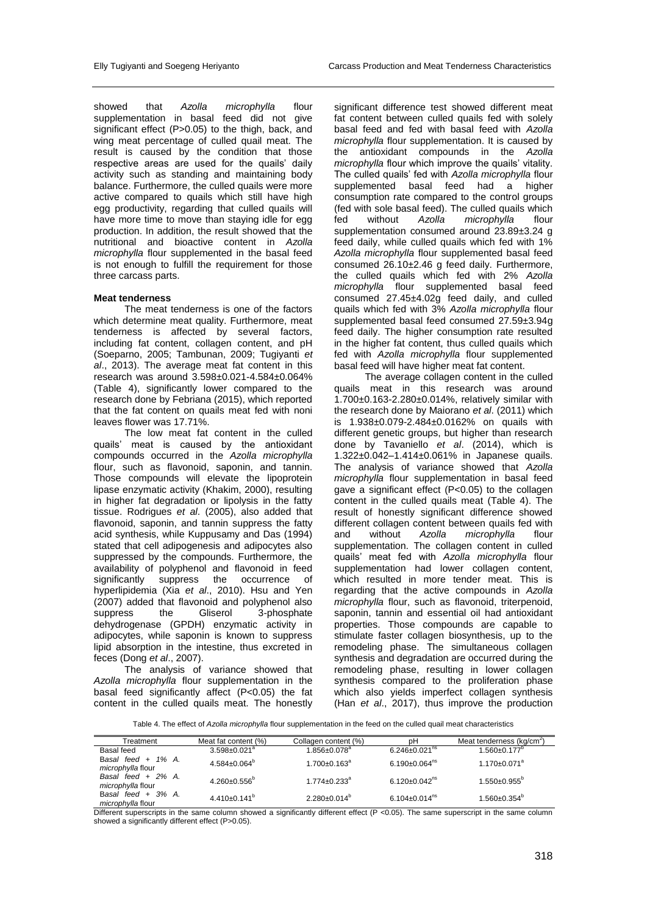showed that *Azolla microphylla* flour supplementation in basal feed did not give significant effect (P>0.05) to the thigh, back, and wing meat percentage of culled quail meat. The result is caused by the condition that those respective areas are used for the quails' daily activity such as standing and maintaining body balance. Furthermore, the culled quails were more active compared to quails which still have high egg productivity, regarding that culled quails will have more time to move than staying idle for egg production. In addition, the result showed that the nutritional and bioactive content in *Azolla microphylla* flour supplemented in the basal feed is not enough to fulfill the requirement for those three carcass parts.

#### **Meat tenderness**

The meat tenderness is one of the factors which determine meat quality. Furthermore, meat tenderness is affected by several factors, including fat content, collagen content, and pH (Soeparno, 2005; Tambunan, 2009; Tugiyanti *et al*., 2013). The average meat fat content in this research was around 3.598±0.021-4.584±0.064% (Table 4), significantly lower compared to the research done by Febriana (2015), which reported that the fat content on quails meat fed with noni leaves flower was 17.71%.

The low meat fat content in the culled quails' meat is caused by the antioxidant compounds occurred in the *Azolla microphylla* flour, such as flavonoid, saponin, and tannin. Those compounds will elevate the lipoprotein lipase enzymatic activity (Khakim, 2000), resulting in higher fat degradation or lipolysis in the fatty tissue. Rodrigues *et al*. (2005), also added that flavonoid, saponin, and tannin suppress the fatty acid synthesis, while Kuppusamy and Das (1994) stated that cell adipogenesis and adipocytes also suppressed by the compounds. Furthermore, the availability of polyphenol and flavonoid in feed significantly suppress the occurrence of hyperlipidemia (Xia *et al*., 2010). Hsu and Yen (2007) added that flavonoid and polyphenol also<br>suppress the Gliserol 3-phosphate suppress the Gliserol 3-phosphate dehydrogenase (GPDH) enzymatic activity in adipocytes, while saponin is known to suppress lipid absorption in the intestine, thus excreted in feces (Dong *et al*., 2007).

The analysis of variance showed that *Azolla microphylla* flour supplementation in the basal feed significantly affect (P<0.05) the fat content in the culled quails meat. The honestly

significant difference test showed different meat fat content between culled quails fed with solely basal feed and fed with basal feed with *Azolla microphylla* flour supplementation. It is caused by the antioxidant compounds in the *Azolla microphylla* flour which improve the quails' vitality. The culled quails' fed with *Azolla microphylla* flour supplemented basal feed had a higher consumption rate compared to the control groups (fed with sole basal feed). The culled quails which<br>fed without Azolla microphylla flour microphylla supplementation consumed around 23.89±3.24 g feed daily, while culled quails which fed with 1% *Azolla microphylla* flour supplemented basal feed consumed 26.10±2.46 g feed daily. Furthermore, the culled quails which fed with 2% *Azolla microphylla* flour supplemented basal feed consumed 27.45±4.02g feed daily, and culled quails which fed with 3% *Azolla microphylla* flour supplemented basal feed consumed 27.59±3.94g feed daily. The higher consumption rate resulted in the higher fat content, thus culled quails which fed with *Azolla microphylla* flour supplemented basal feed will have higher meat fat content.

The average collagen content in the culled quails meat in this research was around 1.700±0.163-2.280±0.014%, relatively similar with the research done by Maiorano *et al*. (2011) which is 1.938±0.079-2.484±0.0162% on quails with different genetic groups, but higher than research done by Tavaniello *et al*. (2014), which is 1.322±0.042–1.414±0.061% in Japanese quails. The analysis of variance showed that *Azolla microphylla* flour supplementation in basal feed gave a significant effect (P<0.05) to the collagen content in the culled quails meat (Table 4). The result of honestly significant difference showed different collagen content between quails fed with and without *Azolla microphylla* flour supplementation. The collagen content in culled quails' meat fed with *Azolla microphylla* flour supplementation had lower collagen content, which resulted in more tender meat. This is regarding that the active compounds in *Azolla microphylla* flour, such as flavonoid, triterpenoid, saponin, tannin and essential oil had antioxidant properties. Those compounds are capable to stimulate faster collagen biosynthesis, up to the remodeling phase. The simultaneous collagen synthesis and degradation are occurred during the remodeling phase, resulting in lower collagen synthesis compared to the proliferation phase which also yields imperfect collagen synthesis (Han *et al*., 2017), thus improve the production

Table 4. The effect of *Azolla microphylla* flour supplementation in the feed on the culled quail meat characteristics

| Treatment                                 | Meat fat content (%)           | Collagen content (%)           | рH                              | Meat tenderness (kg/cm <sup>2</sup> ) |
|-------------------------------------------|--------------------------------|--------------------------------|---------------------------------|---------------------------------------|
| Basal feed                                | $3.598 \pm 0.021$ <sup>a</sup> | $1.856 \pm 0.078$ <sup>a</sup> | $6.246 \pm 0.021$ <sup>ns</sup> | $1.560 \pm 0.177$ <sup>b</sup>        |
| Basal feed $+$ 1% A.<br>microphylla flour | $4.584 \pm 0.064^b$            | $1.700 \pm 0.163$ <sup>a</sup> | $6.190 \pm 0.064$ <sup>ns</sup> | $1.170 \pm 0.071^a$                   |
| Basal feed $+2\%$ A.<br>microphylla flour | $4.260 \pm 0.556^b$            | $1.774 \pm 0.233$ <sup>a</sup> | $6.120 \pm 0.042^{\text{ns}}$   | $1.550+0.955^b$                       |
| Basal feed $+$ 3% A.<br>microphylla flour | $4.410\pm0.141^b$              | $2.280+0.014^b$                | 6.104 $\pm$ 0.014 <sup>ns</sup> | $1.560 \pm 0.354^b$                   |

Different superscripts in the same column showed a significantly different effect (P <0.05). The same superscript in the same column showed a significantly different effect (P>0.05).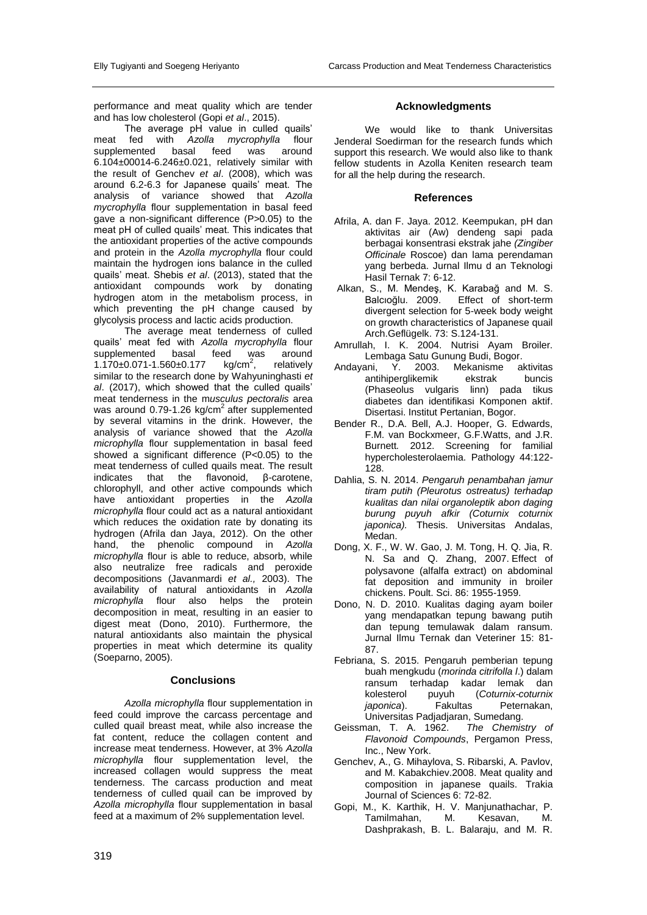performance and meat quality which are tender and has low cholesterol (Gopi *et al*., 2015).

The average pH value in culled quails' meat fed with *Azolla mycrophylla* flour<br>supplemented basal feed was around supplemented basal feed was around 6.104±00014-6.246±0.021, relatively similar with the result of Genchev *et al*. (2008), which was around 6.2-6.3 for Japanese quails' meat. The analysis of variance showed that *Azolla mycrophylla* flour supplementation in basal feed gave a non-significant difference (P>0.05) to the meat pH of culled quails' meat. This indicates that the antioxidant properties of the active compounds and protein in the *Azolla mycrophylla* flour could maintain the hydrogen ions balance in the culled quails' meat. Shebis *et al*. (2013), stated that the antioxidant compounds work by donating hydrogen atom in the metabolism process, in which preventing the pH change caused by glycolysis process and lactic acids production.

The average meat tenderness of culled quails' meat fed with *Azolla mycrophylla* flour supplemented basal feed was around<br>1.170±0.071-1.560±0.177  $kg/cm<sup>2</sup>$ , relatively  $1.170\pm0.071-1.560\pm0.177$ , relatively similar to the research done by Wahyuninghasti *et al*. (2017), which showed that the culled quails' meat tenderness in the m*usculus pectoralis* area was around 0.79-1.26 kg/cm<sup>2</sup> after supplemented by several vitamins in the drink. However, the analysis of variance showed that the *Azolla microphylla* flour supplementation in basal feed showed a significant difference (P<0.05) to the meat tenderness of culled quails meat. The result<br>indicates that the flavonoid. B-carotene. indicates that the flavonoid, β-carotene, chlorophyll, and other active compounds which have antioxidant properties in the *Azolla microphylla* flour could act as a natural antioxidant which reduces the oxidation rate by donating its hydrogen (Afrila dan Jaya, 2012). On the other hand, the phenolic compound in *Azolla microphylla* flour is able to reduce, absorb, while also neutralize free radicals and peroxide decompositions (Javanmardi *et al.,* 2003). The availability of natural antioxidants in *Azolla microphylla* flour also helps the protein decomposition in meat, resulting in an easier to digest meat (Dono, 2010). Furthermore, the natural antioxidants also maintain the physical properties in meat which determine its quality (Soeparno, 2005).

### **Conclusions**

*Azolla microphylla* flour supplementation in feed could improve the carcass percentage and culled quail breast meat, while also increase the fat content, reduce the collagen content and increase meat tenderness. However, at 3% *Azolla microphylla* flour supplementation level, the increased collagen would suppress the meat tenderness. The carcass production and meat tenderness of culled quail can be improved by *Azolla microphylla* flour supplementation in basal feed at a maximum of 2% supplementation level.

### **Acknowledgments**

We would like to thank Universitas Jenderal Soedirman for the research funds which support this research. We would also like to thank fellow students in Azolla Keniten research team for all the help during the research.

#### **References**

- Afrila, A. dan F. Jaya. 2012. Keempukan, pH dan aktivitas air (Aw) dendeng sapi pada berbagai konsentrasi ekstrak jahe *(Zingiber Officinale* Roscoe) dan lama perendaman yang berbeda. Jurnal Ilmu d an Teknologi Hasil Ternak 7: 6-12.
- [Alkan,](https://www.european-poultry-science.com/S-Alkan,QUlEPTQyMTkxNDYmTUlEPTE2MTAxNA.html?UID=BA1AF75BF721AB4024E1DEE9C658131D5BD24D01E886) S., [M. Mendeş,](https://www.european-poultry-science.com/M-Mendex015F,QUlEPTQyMTc4MjImTUlEPTE2MTAxNA.html?UID=BA1AF75BF721AB4024E1DEE9C658131D5BD24D01E886) [K. Karabağ](https://www.european-poultry-science.com/K-Karabax011F,QUlEPTQyMTcyMjMmTUlEPTE2MTAxNA.html?UID=BA1AF75BF721AB4024E1DEE9C658131D5BD24D01E886) and [M. S.](https://www.european-poultry-science.com/M-S-Balcx0131ox011Flu,QUlEPTQyMTcyMjImTUlEPTE2MTAxNA.html?UID=BA1AF75BF721AB4024E1DEE9C658131D5BD24D01E886)  [Balcıoğlu.](https://www.european-poultry-science.com/M-S-Balcx0131ox011Flu,QUlEPTQyMTcyMjImTUlEPTE2MTAxNA.html?UID=BA1AF75BF721AB4024E1DEE9C658131D5BD24D01E886) 2009. Effect of short-term divergent selection for 5-week body weight on growth characteristics of Japanese quail Arch.Geflügelk. 73: S.124-131.
- Amrullah, I. K. 2004. Nutrisi Ayam Broiler. Lembaga Satu Gunung Budi, Bogor.
- Andayani, Y. 2003. Mekanisme aktivitas antihiperglikemik ekstrak buncis (Phaseolus vulgaris linn) pada tikus diabetes dan identifikasi Komponen aktif. Disertasi. Institut Pertanian, Bogor.
- Bender R., D.A. Bell, A.J. Hooper, G. Edwards, F.M. van Bockxmeer, G.F.Watts, and J.R. Burnett. 2012. Screening for familial hypercholesterolaemia. Pathology 44:122- 128.
- Dahlia, S. N. 2014. *Pengaruh penambahan jamur tiram putih (Pleurotus ostreatus) terhadap kualitas dan nilai organoleptik abon daging burung puyuh afkir (Coturnix coturnix japonica).* Thesis. Universitas Andalas, Medan.
- Dong, X. F., W. W. Gao, J. M. Tong, H. Q. Jia, R. N. Sa and Q. Zhang, 2007. Effect of polysavone (alfalfa extract) on abdominal fat deposition and immunity in broiler chickens. Poult. Sci. 86: 1955-1959.
- Dono, N. D. 2010. Kualitas daging ayam boiler yang mendapatkan tepung bawang putih dan tepung temulawak dalam ransum. Jurnal Ilmu Ternak dan Veteriner 15: 81- 87.
- Febriana, S. 2015. Pengaruh pemberian tepung buah mengkudu (*morinda citrifolla l*.) dalam ransum terhadap kadar lemak dan kolesterol puyuh (*Coturnix-coturnix*  **Fakultas** Peternakan, Universitas Padjadjaran, Sumedang.
- Geissman, T. A. 1962. *The Chemistry of Flavonoid Compounds*, Pergamon Press, Inc., New York.
- Genchev, A., G. Mihaylova, S. Ribarski, A. Pavlov, and M. Kabakchiev.2008. Meat quality and composition in japanese quails. Trakia Journal of Sciences 6: 72-82.
- Gopi, M., K. Karthik, H. V. Manjunathachar, P. Tamilmahan, M. Kesavan, M. Dashprakash, B. L. Balaraju, and M. R.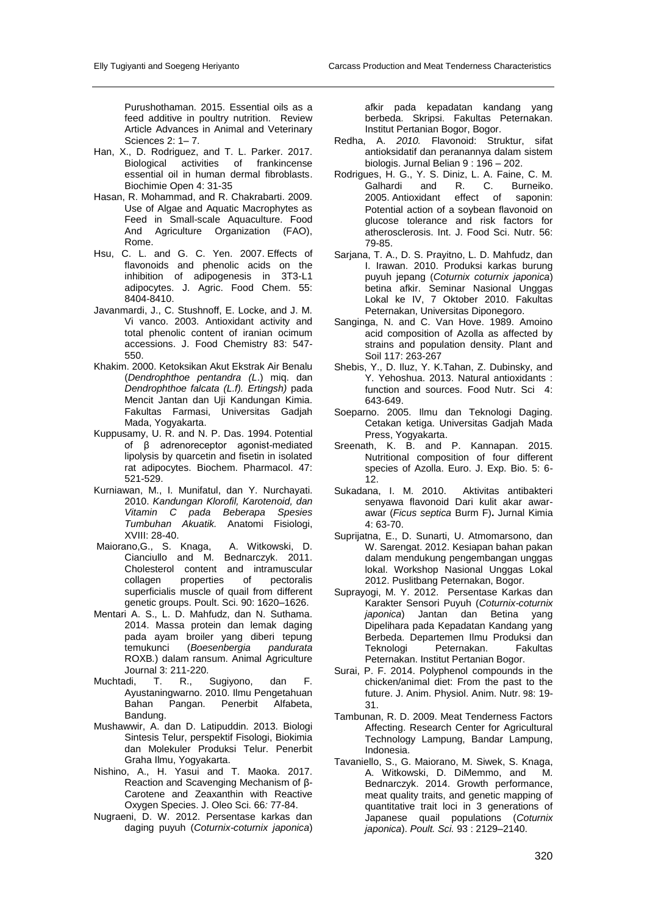Purushothaman. 2015. Essential oils as a feed additive in poultry nutrition. Review Article Advances in Animal and Veterinary Sciences 2: 1– 7.

- Han, X., D. Rodriguez, and T. L. Parker. 2017. Biological activities of frankincense essential oil in human dermal fibroblasts. Biochimie Open 4: 31-35
- Hasan, R. Mohammad, and R. Chakrabarti. 2009. Use of Algae and Aquatic Macrophytes as Feed in Small-scale Aquaculture. Food And Agriculture Organization (FAO), Rome.
- Hsu, C. L. and G. C. Yen. 2007. Effects of flavonoids and phenolic acids on the inhibition of adipogenesis in 3T3-L1 adipocytes. J. Agric. Food Chem. 55: 8404-8410.
- Javanmardi, J., C. Stushnoff, E. Locke, and J. M. Vi vanco. 2003. Antioxidant activity and total phenolic content of iranian ocimum accessions. J. Food Chemistry 83: 547- 550.
- Khakim. 2000. Ketoksikan Akut Ekstrak Air Benalu (*Dendrophthoe pentandra (L*.) miq. dan *Dendrophthoe falcata (L.f). Ertingsh)* pada Mencit Jantan dan Uji Kandungan Kimia. Fakultas Farmasi, Universitas Gadjah Mada, Yogyakarta.
- Kuppusamy, U. R. and N. P. Das. 1994. Potential of β adrenoreceptor agonist-mediated lipolysis by quarcetin and fisetin in isolated rat adipocytes. Biochem. Pharmacol. 47: 521-529.
- Kurniawan, M., I. Munifatul, dan Y. Nurchayati. 2010. *Kandungan Klorofil, Karotenoid, dan Vitamin C pada Beberapa Spesies Tumbuhan Akuatik.* Anatomi Fisiologi, XVIII: 28-40.
- Maiorano,G., S. Knaga, A. Witkowski, D. Cianciullo and M. Bednarczyk. 2011. Cholesterol content and intramuscular<br>collagen properties of pectoralis collagen properties of pectoralis superficialis muscle of quail from different genetic groups. Poult. Sci. 90: 1620–1626.
- Mentari A. S., L. D. Mahfudz, dan N. Suthama. 2014. Massa protein dan lemak daging pada ayam broiler yang diberi tepung<br>temukunci (Boesenbergia pandurata temukunci (*Boesenbergia pandurata*  ROXB*.*) dalam ransum. Animal Agriculture Journal 3: 211-220.
- Muchtadi, T. R., Sugiyono, dan F. Ayustaningwarno. 2010. Ilmu Pengetahuan Bahan Pangan. Penerbit Alfabeta, Bandung.
- Mushawwir, A. dan D. Latipuddin. 2013. Biologi Sintesis Telur, perspektif Fisologi, Biokimia dan Molekuler Produksi Telur. Penerbit Graha Ilmu, Yogyakarta.
- Nishino, A., H. Yasui and T. Maoka. 2017. Reaction and Scavenging Mechanism of β-Carotene and Zeaxanthin with Reactive Oxygen Species. J. Oleo Sci. 66*:* 77-84.
- Nugraeni, D. W. 2012. Persentase karkas dan daging puyuh (*Coturnix-coturnix japonica*)

afkir pada kepadatan kandang yang berbeda. Skripsi. Fakultas Peternakan. Institut Pertanian Bogor, Bogor.

- Redha, A. *2010.* Flavonoid: Struktur, sifat antioksidatif dan peranannya dalam sistem biologis. Jurnal Belian 9 : 196 – 202.
- Rodrigues, H. G., Y. S. Diniz, L. A. Faine, C. M. Galhardi and R. C. Burneiko.<br>2005. Antioxidant effect of saponin: 2005. Antioxidant effect of saponin: Potential action of a soybean flavonoid on glucose tolerance and risk factors for atherosclerosis. Int. J. Food Sci. Nutr. 56: 79-85.
- Sarjana, T. A., D. S. Prayitno, L. D. Mahfudz, dan I. Irawan. 2010. Produksi karkas burung puyuh jepang (*Coturnix coturnix japonica*) betina afkir. Seminar Nasional Unggas Lokal ke IV, 7 Oktober 2010. Fakultas Peternakan, Universitas Diponegoro.
- Sanginga, N. and C. Van Hove. 1989. Amoino acid composition of Azolla as affected by strains and population density. Plant and Soil 117: 263-267
- Shebis, Y., D. Iluz, Y. K.Tahan, Z. Dubinsky, and Y. Yehoshua. 2013. Natural antioxidants : function and sources. Food Nutr. Sci 4: 643-649.
- Soeparno. 2005. Ilmu dan Teknologi Daging. Cetakan ketiga. Universitas Gadjah Mada Press, Yogyakarta.
- Sreenath, K. B. and P. Kannapan. 2015. Nutritional composition of four different species of Azolla. Euro. J. Exp. Bio. 5: 6- 12.
- Sukadana, I. M. 2010. Aktivitas antibakteri senyawa flavonoid Dari kulit akar awarawar (*Ficus septica* Burm F)**.** Jurnal Kimia 4: 63-70.
- Suprijatna, E., D. Sunarti, U. Atmomarsono, dan W. Sarengat. 2012. Kesiapan bahan pakan dalam mendukung pengembangan unggas lokal. Workshop Nasional Unggas Lokal 2012. Puslitbang Peternakan, Bogor.
- Suprayogi, M. Y. 2012. Persentase Karkas dan Karakter Sensori Puyuh (*Coturnix-coturnix*  Jantan dan Betina yang Dipelihara pada Kepadatan Kandang yang Berbeda. Departemen Ilmu Produksi dan<br>Teknologi Peternakan. Fakultas Teknologi Peternakan. Peternakan. Institut Pertanian Bogor.
- Surai, P. F. 2014. Polyphenol compounds in the chicken/animal diet: From the past to the future. J. Anim. Physiol. Anim. Nutr. 98: 19- 31.
- Tambunan, R. D. 2009. Meat Tenderness Factors Affecting. Research Center for Agricultural Technology Lampung, Bandar Lampung, Indonesia.
- [Tavaniello,](javascript:;) S., [G. Maiorano, M. Siwek, S. Knaga,](javascript:;)  [A. Witkowski,](javascript:;) [D. DiMemmo,](javascript:;) and [Bednarczyk.](javascript:;) 2014. Growth performance, meat quality traits, and genetic mapping of quantitative trait loci in 3 generations of Japanese quail populations (*Coturnix japonica*). *Poult. Sci.* 93 : 2129–2140.